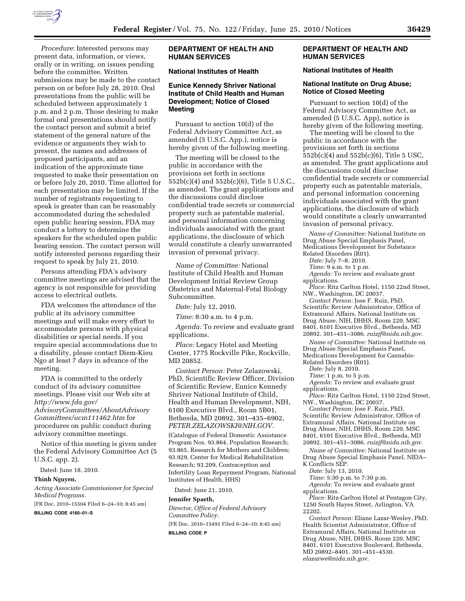

*Procedure*: Interested persons may present data, information, or views, orally or in writing, on issues pending before the committee. Written submissions may be made to the contact person on or before July 28, 2010. Oral presentations from the public will be scheduled between approximately 1 p.m. and 2 p.m. Those desiring to make formal oral presentations should notify the contact person and submit a brief statement of the general nature of the evidence or arguments they wish to present, the names and addresses of proposed participants, and an indication of the approximate time requested to make their presentation on or before July 20, 2010. Time allotted for each presentation may be limited. If the number of registrants requesting to speak is greater than can be reasonably accommodated during the scheduled open public hearing session, FDA may conduct a lottery to determine the speakers for the scheduled open public hearing session. The contact person will notify interested persons regarding their request to speak by July 21, 2010.

Persons attending FDA's advisory committee meetings are advised that the agency is not responsible for providing access to electrical outlets.

FDA welcomes the attendance of the public at its advisory committee meetings and will make every effort to accommodate persons with physical disabilities or special needs. If you require special accommodations due to a disability, please contact Diem-Kieu Ngo at least 7 days in advance of the meeting.

FDA is committed to the orderly conduct of its advisory committee meetings. Please visit our Web site at *http://www.fda.gov/* 

*AdvisoryCommittees/AboutAdvisory Committees/ucm111462.htm* for procedures on public conduct during advisory committee meetings.

Notice of this meeting is given under the Federal Advisory Committee Act (5 U.S.C. app. 2).

Dated: June 18, 2010.

#### **Thinh Nguyen,**

*Acting Associate Commissioner for Special Medical Programs.* 

[FR Doc. 2010–15504 Filed 6–24–10; 8:45 am]

**BILLING CODE 4160–01–S** 

# **DEPARTMENT OF HEALTH AND HUMAN SERVICES**

#### **National Institutes of Health**

# **Eunice Kennedy Shriver National Institute of Child Health and Human Development; Notice of Closed Meeting**

Pursuant to section 10(d) of the Federal Advisory Committee Act, as amended (5 U.S.C. App.), notice is hereby given of the following meeting.

The meeting will be closed to the public in accordance with the provisions set forth in sections 552b(c)(4) and 552b(c)(6), Title 5 U.S.C., as amended. The grant applications and the discussions could disclose confidential trade secrets or commercial property such as patentable material, and personal information concerning individuals associated with the grant applications, the disclosure of which would constitute a clearly unwarranted invasion of personal privacy.

*Name of Committee:* National Institute of Child Health and Human Development Initial Review Group Obstetrics and Maternal-Fetal Biology Subcommittee.

*Date:* July 12, 2010.

*Time:* 8:30 a.m. to 4 p.m.

*Agenda:* To review and evaluate grant applications.

*Place:* Legacy Hotel and Meeting Center, 1775 Rockville Pike, Rockville, MD 20852.

*Contact Person:* Peter Zelazowski, PhD, Scientific Review Officer, Division of Scientific Review, Eunice Kennedy Shriver National Institute of Child, Health and Human Development, NIH, 6100 Executive Blvd., Room 5B01, Bethesda, MD 20892, 301–435–6902, *PETER.ZELAZOWSKI@NIH.GOV.* 

(Catalogue of Federal Domestic Assistance Program Nos. 93.864, Population Research; 93.865, Research for Mothers and Children; 93.929, Center for Medical Rehabilitation Research; 93.209, Contraception and Infertility Loan Repayment Program, National Institutes of Health, HHS)

Dated: June 21, 2010.

#### **Jennifer Spaeth,**

*Director, Office of Federal Advisory Committee Policy.* 

[FR Doc. 2010–15491 Filed 6–24–10; 8:45 am] **BILLING CODE P** 

## **DEPARTMENT OF HEALTH AND HUMAN SERVICES**

# **National Institutes of Health**

## **National Institute on Drug Abuse; Notice of Closed Meeting**

Pursuant to section 10(d) of the Federal Advisory Committee Act, as amended (5 U.S.C. App), notice is hereby given of the following meeting.

The meeting will be closed to the public in accordance with the provisions set forth in sections 552b(c)(4) and 552b(c)(6), Title 5 USC, as amended. The grant applications and the discussions could disclose confidential trade secrets or commercial property such as patentable materials, and personal information concerning individuals associated with the grant applications, the disclosure of which would constitute a clearly unwarranted invasion of personal privacy.

*Name of Committee:* National Institute on Drug Abuse Special Emphasis Panel, Medications Development for Substance Related Disorders (R01).

*Date:* July 7–8, 2010.

*Time:* 9 a.m. to 1 p.m.

*Agenda:* To review and evaluate grant applications.

*Place:* Ritz Carlton Hotel, 1150 22nd Street, NW., Washington, DC 20037.

*Contact Person:* Jose F. Ruiz, PhD, Scientific Review Administrator, Office of Extramural Affairs, National Institute on Drug Abuse, NIH, DHHS, Room 220, MSC 8401, 6101 Executive Blvd., Bethesda, MD 20892. 301–451–3086. *ruizjf@nida.nih.gov.* 

*Name of Committee:* National Institute on Drug Abuse Special Emphasis Panel, Medications Development for Cannabis-Related Disorders (R01).

*Date:* July 8, 2010.

*Time:* 1 p.m. to 5 p.m.

*Agenda:* To review and evaluate grant

applications.

*Place:* Ritz Carlton Hotel, 1150 22nd Street, NW., Washington, DC 20037.

*Contact Person:* Jose F. Ruiz, PhD, Scientific Review Administrator, Office of Extramural Affairs, National Institute on Drug Abuse, NIH, DHHS, Room 220, MSC 8401, 6101 Executive Blvd., Bethesda, MD 20892. 301–451–3086. *ruizjf@nida.nih.gov.* 

*Name of Committee:* National Institute on Drug Abuse Special Emphasis Panel, NIDA– K Conflicts SEP.

*Date:* July 13, 2010.

*Time:* 5:30 p.m. to 7:30 p.m.

*Agenda:* To review and evaluate grant applications.

*Place:* Ritz-Carlton Hotel at Pentagon City, 1250 South Hayes Street, Arlington, VA 22202.

*Contact Person:* Eliane Lazar-Wesley, PhD, Health Scientist Administrator, Office of Extramural Affairs, National Institute on Drug Abuse, NIH, DHHS, Room 220, MSC 8401, 6101 Executive Boulevard, Bethesda, MD 20892–8401. 301–451–4530. *elazarwe@nida.nih.gov.*